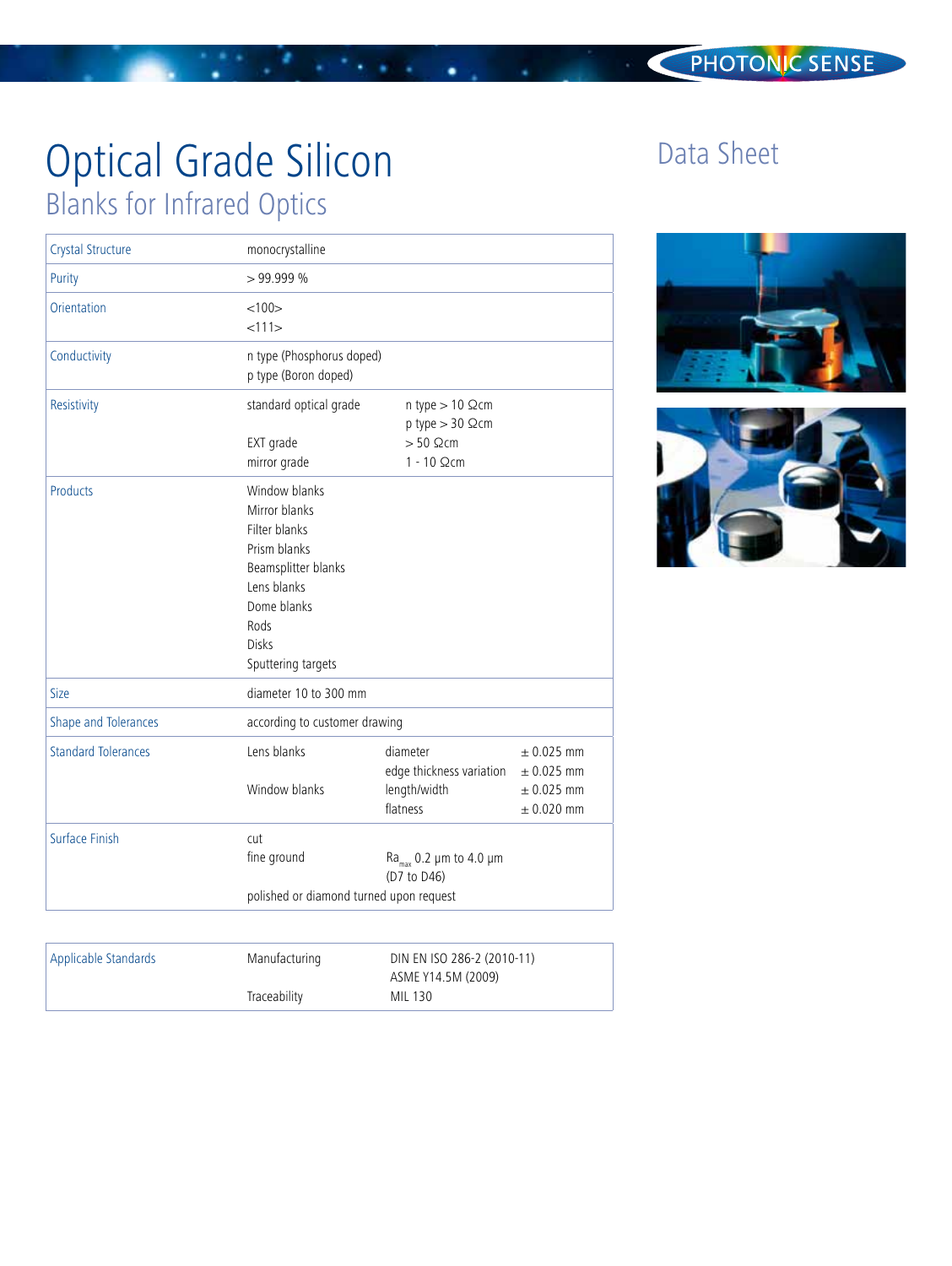## PHOTONIC SENSE

# Optical Grade Silicon Blanks for Infrared Optics

| Crystal Structure          | monocrystalline<br>>99.999%                                                                                                                                        |                                                                                      |                                                                      |
|----------------------------|--------------------------------------------------------------------------------------------------------------------------------------------------------------------|--------------------------------------------------------------------------------------|----------------------------------------------------------------------|
| Purity                     |                                                                                                                                                                    |                                                                                      |                                                                      |
| Orientation                | <100<br><111>                                                                                                                                                      |                                                                                      |                                                                      |
| Conductivity               | n type (Phosphorus doped)<br>p type (Boron doped)                                                                                                                  |                                                                                      |                                                                      |
| Resistivity                | standard optical grade<br>EXT grade<br>mirror grade                                                                                                                | n type $> 10$ $\Omega$ cm<br>$p$ type $> 30$ $\Omega$ cm<br>$> 50$ Qcm<br>1 - 10 Ωcm |                                                                      |
| Products                   | Window blanks<br>Mirror blanks<br>Filter blanks<br>Prism blanks<br>Beamsplitter blanks<br>Lens blanks<br>Dome blanks<br>Rods<br><b>Disks</b><br>Sputtering targets |                                                                                      |                                                                      |
| Size                       | diameter 10 to 300 mm                                                                                                                                              |                                                                                      |                                                                      |
| Shape and Tolerances       | according to customer drawing                                                                                                                                      |                                                                                      |                                                                      |
| <b>Standard Tolerances</b> | Lens blanks<br>Window blanks                                                                                                                                       | diameter<br>edge thickness variation<br>length/width<br>flatness                     | $\pm$ 0.025 mm<br>$\pm$ 0.025 mm<br>$\pm$ 0.025 mm<br>$\pm$ 0.020 mm |
| Surface Finish             | cut<br>fine ground<br>polished or diamond turned upon request                                                                                                      | Ra <sub>max</sub> 0.2 $\mu$ m to 4.0 $\mu$ m<br>(D7 to D46)                          |                                                                      |
|                            |                                                                                                                                                                    |                                                                                      |                                                                      |

٠

| Applicable Standards | Manufacturing | DIN EN ISO 286-2 (2010-11)<br>ASME Y14.5M (2009) |  |
|----------------------|---------------|--------------------------------------------------|--|
|                      | Traceability  | MIL 130                                          |  |

## Data Sheet